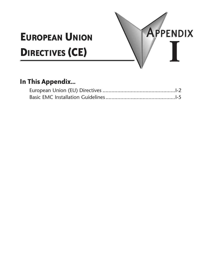# **European Union Directives (CE)**



APPENDIX

**I**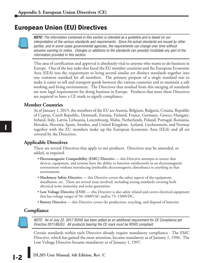# **European Union (EU) Directives**



*NOTE: The information contained in this section is intended as a guideline and is based on our interpretation of the various standards and requirements. Since the actual standards are issued by other parties, and in some cases governmental agencies, the requirements can change over time without advance warning or notice. Changes or additions to the standards can possibly invalidate any part of the information provided in this section.*

This area of certification and approval is absolutely vital to anyone who wants to do business in Europe. One of the key tasks that faced the EU member countries and the European Economic Area (EEA) was the requirement to bring several similar yet distinct standards together into one common standard for all members. The primary purpose of a single standard was to make it easier to sell and transport goods between the various countries and to maintain a safe working and living environment. The Directives that resulted from this merging of standards are now legal requirements for doing business in Europe. Products that meet these Directives are required to have a CE mark to signify compliance.

# **Member Countries**

As of January 1, 2015, the members of the EU are Austria, Belgium, Bulgaria, Croatia, Republic of Cyprus, Czech Republic, Denmark, Estonia, Finland, France, Germany, Greece, Hungary, Ireland, Italy, Latvia, Lithuania, Luxembourg, Malta, Netherlands, Poland, Portugal, Romania, Slovakia, Slovenia, Spain, Sweden, and United Kingdom. Iceland, Liechtenstein, and Norway together with the EU members make up the European Economic Area (EEA) and all are covered by the Directives.

# **Applicable Directives**

There are several Directives that apply to our products. Directives may be amended, or added, as required.

- **Electromagnetic Compatibility (EMC) Directive**  this Directive attempts to ensure that devices, equipment, and systems have the ability to function satisfactorily in an electromagnetic environment without introducing intolerable electromagnetic disturbance to anything in that environment.
- **Machinery Safety Directive** this Directive covers the safety aspects of the equipment, installation, etc. There are several areas involved, including testing standards covering both electrical noise immunity and noise generation.
- **Low Voltage Directive (LVD)** this Directive is also safety related and covers electrical equipment that has voltage ranges of 50–1000VAC and/or 75–1500VDC.
- **Battery Directive** this Directive covers the production, recycling, and disposal of batteries.

# **Compliance**



*NOTE: As of July 22, 2017 ROHS has been added as an additional requirement for CE Compliance per Directive 2011/65/EU. All products bearing the CE mark must be ROHS compliant.* 

Certain standards within each Directive already require mandatory compliance. The EMC Directive, which has gained the most attention, became mandatory as of January 1, 1996. The Low Voltage Directive became mandatory as of January 1, 1997.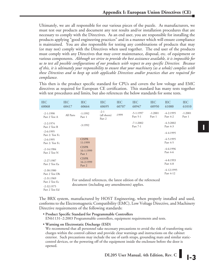Ultimately, we are all responsible for our various pieces of the puzzle. As manufacturers, we must test our products and document any test results and/or installation procedures that are necessary to comply with the Directives. As an end user, you are responsible for installing the products applying "good engineering practices" and in a manner which will ensure compliance is maintained. You are also responsible for testing any combinations of products that may (or may not) comply with the Directives when used together. The end user of the products must comply with any Directives that may cover maintenance, disposal, etc. of equipment or various components. *Although we strive to provide the best assistance available, it is impossible for us to test all possible configurations of our products with respect to any specific Directive. Because of this, it is ultimately your responsibility to ensure that your machinery (as a whole) complies with these Directives and to keep up with applicable Directives and/or practices that are required for compliance.*

This then is the product specific standard for CPUs and covers the low voltage and EMC directives as required for European CE certification. This standard has many tests together with test procedures and limits, but also references the below standards for some tests.

| <b>IEC</b><br>60068              | <b>IEC</b><br>60417                                                                                          | <b>IEC</b><br>60664                 | <b>IEC</b><br>60695              | <b>IEC</b><br>60707 | <b>IEC</b><br>60947     | <b>IEC</b><br>60950 | <b>IEC</b><br>61000       | <b>IEC</b><br>61010 |  |
|----------------------------------|--------------------------------------------------------------------------------------------------------------|-------------------------------------|----------------------------------|---------------------|-------------------------|---------------------|---------------------------|---------------------|--|
| $-2-1:1990$<br>Part 2 Test A     | All Parts                                                                                                    | $-1:1992$<br>Part 1                 | $-2-1$<br>(all sheets)<br>Part 2 | :1999               | $-5-1:1997$<br>Part 5-1 | $-1:2001$<br>Part 1 | $-4-2:1995$<br>Part 4-2   | $-1:2001$<br>Part 1 |  |
| $-2 - 2:1974$<br>Part 2 Test B   |                                                                                                              | $-3:1992$                           |                                  |                     | $-7-1:2002$<br>Part 7-1 |                     | $-4-3:2002$<br>Part 4-3   |                     |  |
| $-2 - 6:1995$<br>Part 2: Test Fc |                                                                                                              |                                     |                                  |                     |                         |                     | $-4-4:1995$               |                     |  |
| $-2 - 6:1995$<br>Part 2: Test Fc |                                                                                                              | <b>CISPR</b><br>11:1999             |                                  |                     |                         |                     | $-4-5:1995$<br>Part 4-5   |                     |  |
| $-2 - 14:1984$<br>Part 2 Test N  |                                                                                                              | <b>CISPR</b><br>16-1:1999<br>Part 1 |                                  |                     |                         |                     | $-4 - 6:1996$<br>Part 4-6 |                     |  |
| $-2 - 27:1987$<br>Part 2 Test Ea |                                                                                                              | <b>CISPR</b><br>16-2:1999<br>Part 2 |                                  |                     |                         |                     | $-4 - 8:1993$<br>Part 4-8 |                     |  |
| $-2 - 30:1980$<br>Part 2 Test Db |                                                                                                              |                                     |                                  |                     |                         |                     | $-4-12:1995$<br>Part 4-12 |                     |  |
| $-2 - 31:1969$<br>Part 2 Test Ec | For undated references, the latest edition of the referenced<br>document (including any amendments) applies. |                                     |                                  |                     |                         |                     |                           |                     |  |
| $-2 - 32:1975$<br>Part 2 Test Ed |                                                                                                              |                                     |                                  |                     |                         |                     |                           |                     |  |

The BRX system, manufactured by HOST Engineering, when properly installed and used, conforms to the Electromagnetic Compatibility (EMC), Low Voltage Directive, and Machinery Directive requirements of the following standards:

- **Product Specific Standard for Programmable Controllers**
- EN61131–2:2003 Programmable controllers, equipment requirements and tests.
- **Warning on Electrostatic Discharge (ESD)**

We recommend that all personnel take necessary precautions to avoid the risk of transferring static charges within the control cabinet and provide clear warnings and instructions on the cabinet exterior. Such precautions may include the use of earth straps, grounding mats and similar staticcontrol devices, or the powering off of the equipment inside the enclosure before the door is opened.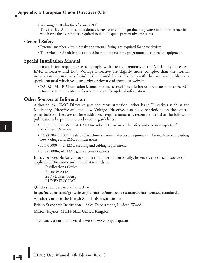• **Warning on Radio Interference (RFI)**

This is a class A product. In a domestic environment this product may cause radio interference in which case the user may be required to take adequate preventative measures.

# **General Safety**

- External switches, circuit breaker or external fusing are required for these devices.
- The switch or circuit breaker should be mounted near the programmable controller equipment.

#### **Special Installation Manual**

The installation requirements to comply with the requirements of the Machinery Directive, EMC Directive and Low Voltage Directive are slightly more complex than the normal installation requirements found in the United States. To help with this, we have published a special manual which you can order or download from our website:

• **DA–EU–M** – EU Installation Manual that covers special installation requirements to meet the EU Directive requirements. Refer to this manual for updated information.

#### **Other Sources of Information**

Although the EMC Directive gets the most attention, other basic Directives such as the Machinery Directive and the Low Voltage Directive, also place restrictions on the control panel builder. Because of these additional requirements it is recommended that the following publications be purchased and used as guidelines:

- BSI publication BS TH 42073: November 2000 covers the safety and electrical aspects of the Machinery Directive
- EN 60204–1:2006 Safety of Machinery; General electrical requirements for machinery, including Low Voltage and EMC considerations
- IEC 61000–5–2: EMC earthing and cabling requirements
- IEC 61000–5–1: EMC general considerations

It may be possible for you to obtain this information locally; however, the official source of applicable Directives and related standards is:

Publications Office 2, rue Mercier 2985 Luxembourg LUXEMBOURG

Quickest contact is via the web at:

**http://ec.europa.eu/growth/single-market/european-standards/harmonised-standards**.

Another source is the British Standards Institution at:

British Standards Institution – Sales Department, Linford Wood:

Milton Keynes, MK14 6LE, United Kingdom.

The quickest contact is via the web at www.bsigroup.com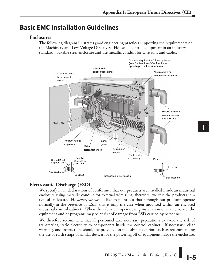# **Basic EMC Installation Guidelines**

# **Enclosures**

The following diagram illustrates good engineering practices supporting the requirements of the Machinery and Low Voltage Directives. House all control equipment in an industrystandard, lockable steel enclosure and use metallic conduit for wire runs and cables.



# **Electrostatic Discharge (ESD)**

We specify in all declarations of conformity that our products are installed inside an industrial enclosure using metallic conduit for external wire runs; therefore, we test the products in a typical enclosure. However, we would like to point out that although our products operate normally in the presence of ESD, this is only the case when mounted within an enclosed industrial control cabinet. When the cabinet is open during installation or maintenance, the equipment and or programs may be at risk of damage from ESD carried by personnel.

We therefore recommend that all personnel take necessary precautions to avoid the risk of transferring static electricity to components inside the control cabinet. If necessary, clear warnings and instructions should be provided on the cabinet exterior, such as recommending the use of earth straps of similar devices, or the powering off of equipment inside the enclosure.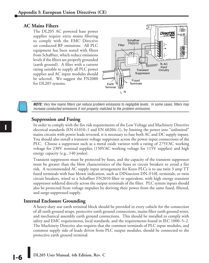# **AC Mains Filters**

The DL205 AC powered base power supplies require extra mains filtering to comply with the EMC Directive on conducted RF emissions. All PLC equipment has been tested with filters from Schaffner, which reduce emissions levels if the filters are properly grounded (earth ground). A filter with a current rating suitable to supply all PLC power supplies and AC input modules should be selected. We suggest the FN2080 for DL205 systems.



*NOTE: Very few mains filters can reduce problem emissions to negligible levels. In some cases, filters may increase conducted emissions if not properly matched to the problem emissions.*

#### **Suppression and Fusing**

In order to comply with the fire risk requirements of the Low Voltage and Machinery Directive electrical standards (EN 61010–1 and EN 60204–1), by limiting the power into "unlimited" mains circuits with power leads reversed, it is necessary to fuse both AC and DC supply inputs. You should also install a transient voltage suppressor across the power input connections of the PLC. Choose a suppressor such as a metal oxide varistor with a rating of 275VAC working voltage for 230V nominal supplies (150VAC working voltage for 115V supplies) and high energy capacity (e.g., 140 joules).

Transient suppressors must be protected by fuses, and the capacity of the transient suppressor must be greater than the blow characteristics of the fuses or circuit breakers to avoid a fire risk. A recommended AC supply input arrangement for Koyo PLCs is to use twin 3 amp TT fused terminals with fuse blown indication, such as DINnectors DN–F10L terminals, or twin circuit breakers, wired to a Schaffner FN2010 filter or equivalent, with high energy transient suppressor soldered directly across the output terminals of the filter. PLC system inputs should also be protected from voltage impulses by deriving their power from the same fused, filtered, and surge-suppressed supply.

#### **Internal Enclosure Grounding**

A heavy-duty star earth terminal block should be provided in every cubicle for the connection of all earth ground straps, protective earth ground connections, mains filter earth ground wires, and mechanical assembly earth ground connections. This should be installed to comply with safety and EMC requirements, local standards, and the requirements found in IEC 1000–5–2. The Machinery Directive also requires that the common terminals of PLC input modules, and common supply side of loads driven from PLC output modules, should be connected to the protective earth ground terminal.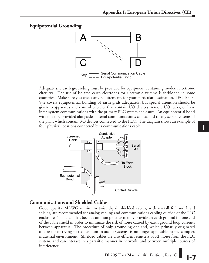# **Equipotential Grounding**



Adequate site earth grounding must be provided for equipment containing modern electronic circuitry. The use of isolated earth electrodes for electronic systems is forbidden in some countries. Make sure you check any requirements for your particular destination. IEC 1000– 5–2 covers equipotential bonding of earth grids adequately, but special attention should be given to apparatus and control cubicles that contain I/O devices, remote I/O racks, or have inter-system communications with the primary PLC system enclosure. An equipotential bond wire must be provided alongside all serial communications cables, and to any separate items of the plant which contain I/O devices connected to the PLC. The diagram shows an example of four physical locations connected by a communications cable.



# **Communications and Shielded Cables**

Good quality 24AWG minimum twisted-pair shielded cables, with overall foil and braid shields, are recommended for analog cabling and communications cabling outside of the PLC enclosure. To date, it has been a common practice to only provide an earth ground for one end of the cable shield in order to minimize the risk of noise caused by earth ground loop currents between apparatus. The procedure of only grounding one end, which primarily originated as a result of trying to reduce hum in audio systems, is no longer applicable to the complex industrial environment. Shielded cables are also efficient emitters of RF noise from the PLC system, and can interact in a parasitic manner in networks and between multiple sources of interference.

DL205 User Manual, 4th Edition, Rev. C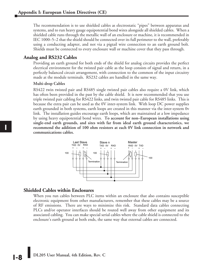The recommendation is to use shielded cables as electrostatic "pipes" between apparatus and systems, and to run heavy gauge equipotential bond wires alongside all shielded cables. When a shielded cable runs through the metallic wall of an enclosure or machine, it is recommended in IEC 1000–5–2 that the shield should be connected over its full perimeter to the wall, preferably using a conducting adapter, and not via a pigtail wire connection to an earth ground bolt. Shields must be connected to every enclosure wall or machine cover that they pass through.

#### **Analog and RS232 Cables**

Providing an earth ground for both ends of the shield for analog circuits provides the perfect electrical environment for the twisted pair cable as the loop consists of signal and return, in a perfectly balanced circuit arrangement, with connection to the common of the input circuitry made at the module terminals. RS232 cables are handled in the same way.

#### **Multi-drop Cables**

RS422 twin twisted pair and RS485 single twisted pair cables also require a 0V link, which has often been provided in the past by the cable shield. It is now recommended that you use triple twisted pair cabling for RS422 links, and twin twisted pair cable for RS485 links. This is because the extra pair can be used as the 0V inter-system link. With loop DC power supplies earth grounded in both systems, earth loops are created in this manner via the inter-system 0v link. The installation guides encourage earth loops, which are maintained at a low impedance by using heavy equipotential bond wires. **To account for non–European installations using single-end earth grounds, and sites with far from ideal earth ground characteristics, we recommend the addition of 100 ohm resistors at each 0V link connection in network and communications cables.**



#### **Shielded Cables within Enclosures**

When you run cables between PLC items within an enclosure that also contains susceptible electronic equipment from other manufacturers, remember that these cables may be a source of RF emissions. There are ways to minimize this risk. Standard data cables connecting PLCs and/or operator interfaces should be routed well away from other equipment and its associated cabling. You can make special serial cables where the cable shield is connected to the enclosure's earth ground at both ends, the same way that external cables are connected.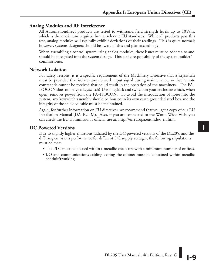# **Analog Modules and RF Interference**

All Automationdirect products are tested to withstand field strength levels up to 10V/m, which is the maximum required by the relevant EU standards. While all products pass this test, analog modules will typically exhibit deviations of their readings. This is quite normal; however, systems designers should be aware of this and plan accordingly.

When assembling a control system using analog modules, these issues must be adhered to and should be integrated into the system design. This is the responsibility of the system builder/ commissioner.

### **Network Isolation**

For safety reasons, it is a specific requirement of the Machinery Directive that a keyswitch must be provided that isolates any network input signal during maintenance, so that remote commands cannot be received that could result in the operation of the machinery. The FA– ISOCON does not have a keyswitch! Use a keylock and switch on your enclosure which, when open, removes power from the FA–ISOCON. To avoid the introduction of noise into the system, any keyswitch assembly should be housed in its own earth grounded steel box and the integrity of the shielded cable must be maintained.

Again, for further information on EU directives, we recommend that you get a copy of our EU Installation Manual (DA–EU–M). Also, if you are connected to the World Wide Web, you can check the EU Commission's official site at: http://ec.europa.eu/index\_en.htm.

# **DC Powered Versions**

Due to slightly higher emissions radiated by the DC powered versions of the DL205, and the differing emissions performance for different DC supply voltages, the following stipulations must be met:

- The PLC must be housed within a metallic enclosure with a minimum number of orifices.
- I/O and communications cabling exiting the cabinet must be contained within metallic conduit/trunking.